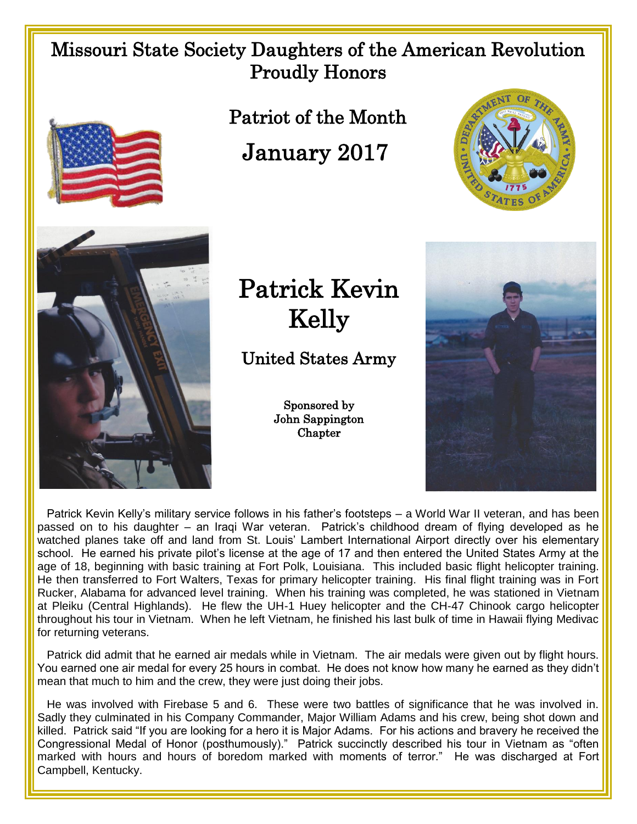## Missouri State Society Daughters of the American Revolution Proudly Honors



Patriot of the Month

January 2017





## Patrick Kevin Kelly

United States Army

Sponsored by John Sappington **Chapter** 



 Patrick Kevin Kelly's military service follows in his father's footsteps – a World War II veteran, and has been passed on to his daughter – an Iraqi War veteran. Patrick's childhood dream of flying developed as he watched planes take off and land from St. Louis' Lambert International Airport directly over his elementary school. He earned his private pilot's license at the age of 17 and then entered the United States Army at the age of 18, beginning with basic training at Fort Polk, Louisiana. This included basic flight helicopter training. He then transferred to Fort Walters, Texas for primary helicopter training. His final flight training was in Fort Rucker, Alabama for advanced level training. When his training was completed, he was stationed in Vietnam at Pleiku (Central Highlands). He flew the UH-1 Huey helicopter and the CH-47 Chinook cargo helicopter throughout his tour in Vietnam. When he left Vietnam, he finished his last bulk of time in Hawaii flying Medivac for returning veterans.

 Patrick did admit that he earned air medals while in Vietnam. The air medals were given out by flight hours. You earned one air medal for every 25 hours in combat. He does not know how many he earned as they didn't mean that much to him and the crew, they were just doing their jobs.

 He was involved with Firebase 5 and 6. These were two battles of significance that he was involved in. Sadly they culminated in his Company Commander, Major William Adams and his crew, being shot down and killed. Patrick said "If you are looking for a hero it is Major Adams. For his actions and bravery he received the Congressional Medal of Honor (posthumously)." Patrick succinctly described his tour in Vietnam as "often marked with hours and hours of boredom marked with moments of terror." He was discharged at Fort Campbell, Kentucky.